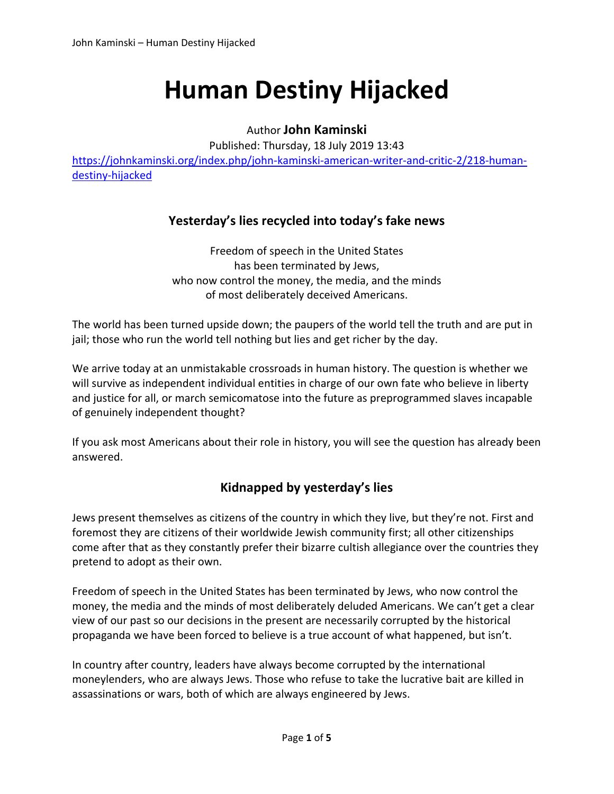# **Human Destiny Hijacked**

Author **John Kaminski**

Published: Thursday, 18 July 2019 13:43

https://johnkaminski.org/index.php/john-kaminski-american-writer-and-critic-2/218-humandestiny‐hijacked

#### **Yesterday's lies recycled into today's fake news**

Freedom of speech in the United States has been terminated by Jews, who now control the money, the media, and the minds of most deliberately deceived Americans.

The world has been turned upside down; the paupers of the world tell the truth and are put in jail; those who run the world tell nothing but lies and get richer by the day.

We arrive today at an unmistakable crossroads in human history. The question is whether we will survive as independent individual entities in charge of our own fate who believe in liberty and justice for all, or march semicomatose into the future as preprogrammed slaves incapable of genuinely independent thought?

If you ask most Americans about their role in history, you will see the question has already been answered.

### **Kidnapped by yesterday's lies**

Jews present themselves as citizens of the country in which they live, but they're not. First and foremost they are citizens of their worldwide Jewish community first; all other citizenships come after that as they constantly prefer their bizarre cultish allegiance over the countries they pretend to adopt as their own.

Freedom of speech in the United States has been terminated by Jews, who now control the money, the media and the minds of most deliberately deluded Americans. We can't get a clear view of our past so our decisions in the present are necessarily corrupted by the historical propaganda we have been forced to believe is a true account of what happened, but isn't.

In country after country, leaders have always become corrupted by the international moneylenders, who are always Jews. Those who refuse to take the lucrative bait are killed in assassinations or wars, both of which are always engineered by Jews.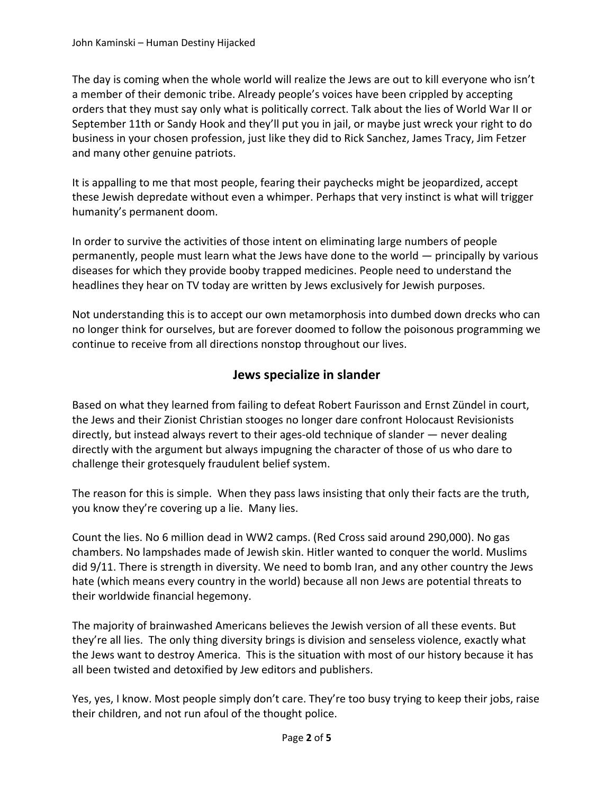The day is coming when the whole world will realize the Jews are out to kill everyone who isn't a member of their demonic tribe. Already people's voices have been crippled by accepting orders that they must say only what is politically correct. Talk about the lies of World War II or September 11th or Sandy Hook and they'll put you in jail, or maybe just wreck your right to do business in your chosen profession, just like they did to Rick Sanchez, James Tracy, Jim Fetzer and many other genuine patriots.

It is appalling to me that most people, fearing their paychecks might be jeopardized, accept these Jewish depredate without even a whimper. Perhaps that very instinct is what will trigger humanity's permanent doom.

In order to survive the activities of those intent on eliminating large numbers of people permanently, people must learn what the Jews have done to the world — principally by various diseases for which they provide booby trapped medicines. People need to understand the headlines they hear on TV today are written by Jews exclusively for Jewish purposes.

Not understanding this is to accept our own metamorphosis into dumbed down drecks who can no longer think for ourselves, but are forever doomed to follow the poisonous programming we continue to receive from all directions nonstop throughout our lives.

### **Jews specialize in slander**

Based on what they learned from failing to defeat Robert Faurisson and Ernst Zündel in court, the Jews and their Zionist Christian stooges no longer dare confront Holocaust Revisionists directly, but instead always revert to their ages‐old technique of slander — never dealing directly with the argument but always impugning the character of those of us who dare to challenge their grotesquely fraudulent belief system.

The reason for this is simple. When they pass laws insisting that only their facts are the truth, you know they're covering up a lie. Many lies.

Count the lies. No 6 million dead in WW2 camps. (Red Cross said around 290,000). No gas chambers. No lampshades made of Jewish skin. Hitler wanted to conquer the world. Muslims did 9/11. There is strength in diversity. We need to bomb Iran, and any other country the Jews hate (which means every country in the world) because all non Jews are potential threats to their worldwide financial hegemony.

The majority of brainwashed Americans believes the Jewish version of all these events. But they're all lies. The only thing diversity brings is division and senseless violence, exactly what the Jews want to destroy America. This is the situation with most of our history because it has all been twisted and detoxified by Jew editors and publishers.

Yes, yes, I know. Most people simply don't care. They're too busy trying to keep their jobs, raise their children, and not run afoul of the thought police.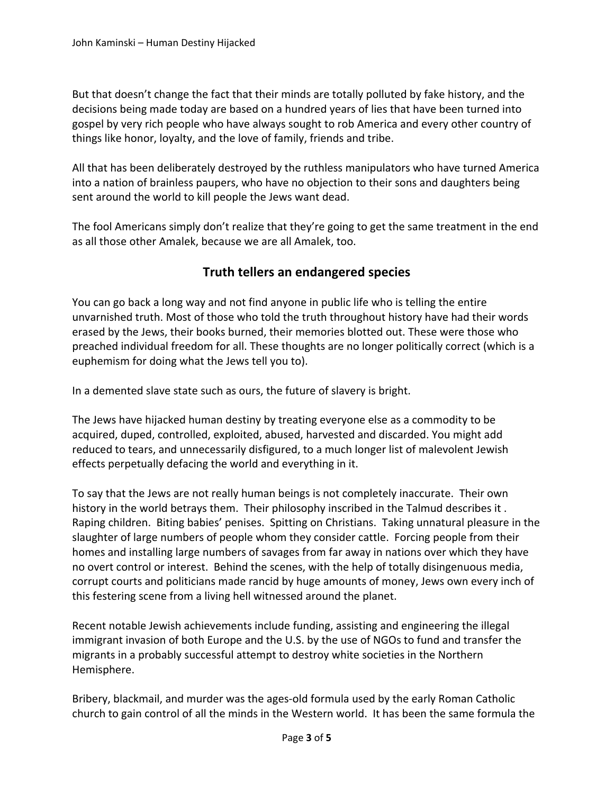But that doesn't change the fact that their minds are totally polluted by fake history, and the decisions being made today are based on a hundred years of lies that have been turned into gospel by very rich people who have always sought to rob America and every other country of things like honor, loyalty, and the love of family, friends and tribe.

All that has been deliberately destroyed by the ruthless manipulators who have turned America into a nation of brainless paupers, who have no objection to their sons and daughters being sent around the world to kill people the Jews want dead.

The fool Americans simply don't realize that they're going to get the same treatment in the end as all those other Amalek, because we are all Amalek, too.

## **Truth tellers an endangered species**

You can go back a long way and not find anyone in public life who is telling the entire unvarnished truth. Most of those who told the truth throughout history have had their words erased by the Jews, their books burned, their memories blotted out. These were those who preached individual freedom for all. These thoughts are no longer politically correct (which is a euphemism for doing what the Jews tell you to).

In a demented slave state such as ours, the future of slavery is bright.

The Jews have hijacked human destiny by treating everyone else as a commodity to be acquired, duped, controlled, exploited, abused, harvested and discarded. You might add reduced to tears, and unnecessarily disfigured, to a much longer list of malevolent Jewish effects perpetually defacing the world and everything in it.

To say that the Jews are not really human beings is not completely inaccurate. Their own history in the world betrays them. Their philosophy inscribed in the Talmud describes it . Raping children. Biting babies' penises. Spitting on Christians. Taking unnatural pleasure in the slaughter of large numbers of people whom they consider cattle. Forcing people from their homes and installing large numbers of savages from far away in nations over which they have no overt control or interest. Behind the scenes, with the help of totally disingenuous media, corrupt courts and politicians made rancid by huge amounts of money, Jews own every inch of this festering scene from a living hell witnessed around the planet.

Recent notable Jewish achievements include funding, assisting and engineering the illegal immigrant invasion of both Europe and the U.S. by the use of NGOs to fund and transfer the migrants in a probably successful attempt to destroy white societies in the Northern Hemisphere.

Bribery, blackmail, and murder was the ages‐old formula used by the early Roman Catholic church to gain control of all the minds in the Western world. It has been the same formula the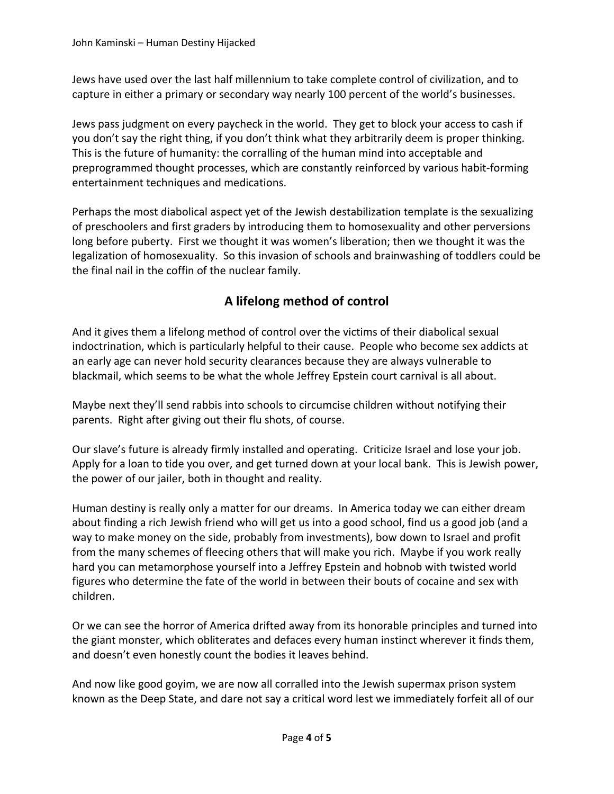Jews have used over the last half millennium to take complete control of civilization, and to capture in either a primary or secondary way nearly 100 percent of the world's businesses.

Jews pass judgment on every paycheck in the world. They get to block your access to cash if you don't say the right thing, if you don't think what they arbitrarily deem is proper thinking. This is the future of humanity: the corralling of the human mind into acceptable and preprogrammed thought processes, which are constantly reinforced by various habit‐forming entertainment techniques and medications.

Perhaps the most diabolical aspect yet of the Jewish destabilization template is the sexualizing of preschoolers and first graders by introducing them to homosexuality and other perversions long before puberty. First we thought it was women's liberation; then we thought it was the legalization of homosexuality. So this invasion of schools and brainwashing of toddlers could be the final nail in the coffin of the nuclear family.

# **A lifelong method of control**

And it gives them a lifelong method of control over the victims of their diabolical sexual indoctrination, which is particularly helpful to their cause. People who become sex addicts at an early age can never hold security clearances because they are always vulnerable to blackmail, which seems to be what the whole Jeffrey Epstein court carnival is all about.

Maybe next they'll send rabbis into schools to circumcise children without notifying their parents. Right after giving out their flu shots, of course.

Our slave's future is already firmly installed and operating. Criticize Israel and lose your job. Apply for a loan to tide you over, and get turned down at your local bank. This is Jewish power, the power of our jailer, both in thought and reality.

Human destiny is really only a matter for our dreams. In America today we can either dream about finding a rich Jewish friend who will get us into a good school, find us a good job (and a way to make money on the side, probably from investments), bow down to Israel and profit from the many schemes of fleecing others that will make you rich. Maybe if you work really hard you can metamorphose yourself into a Jeffrey Epstein and hobnob with twisted world figures who determine the fate of the world in between their bouts of cocaine and sex with children.

Or we can see the horror of America drifted away from its honorable principles and turned into the giant monster, which obliterates and defaces every human instinct wherever it finds them, and doesn't even honestly count the bodies it leaves behind.

And now like good goyim, we are now all corralled into the Jewish supermax prison system known as the Deep State, and dare not say a critical word lest we immediately forfeit all of our